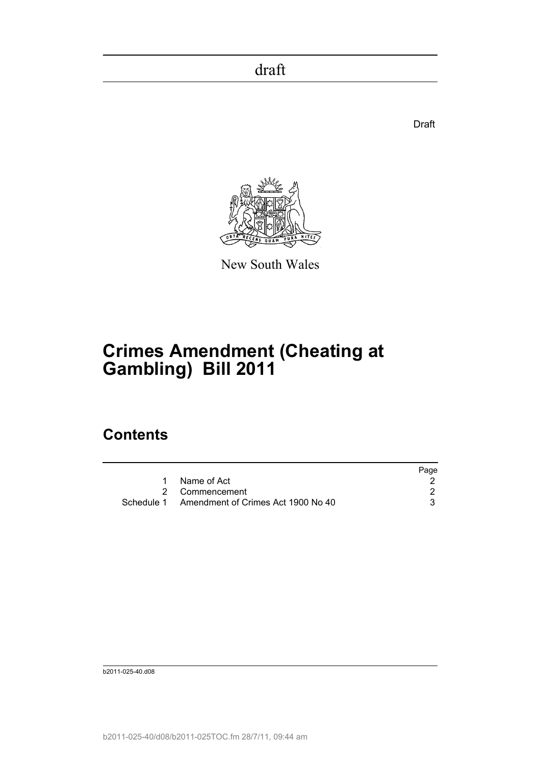de de la construction de la construction de la construction de la construction de la construction de la constr



New South Wales

# **Crimes Amendment (Cheating at Gambling) Bill 2011**

# **Contents**

|                                               | Page |
|-----------------------------------------------|------|
| Name of Act                                   |      |
| 2 Commencement                                |      |
| Schedule 1 Amendment of Crimes Act 1900 No 40 |      |

b2011-025-40.d08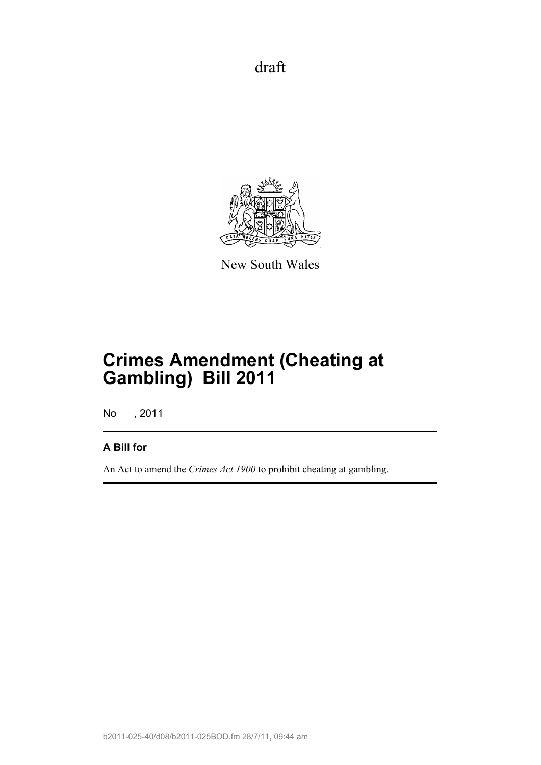

New South Wales

# **Crimes Amendment (Cheating at Gambling) Bill 2011**

No , 2011

## **A Bill for**

An Act to amend the *Crimes Act 1900* to prohibit cheating at gambling.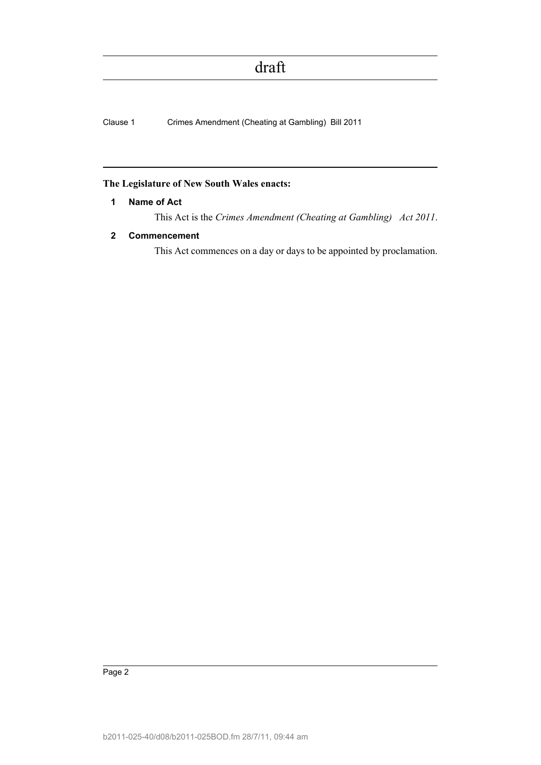Clause 1 Crimes Amendment (Cheating at Gambling) Bill 2011

#### <span id="page-2-0"></span>**The Legislature of New South Wales enacts:**

### **1 Name of Act**

This Act is the *Crimes Amendment (Cheating at Gambling) Act 2011*.

### <span id="page-2-1"></span>**2 Commencement**

This Act commences on a day or days to be appointed by proclamation.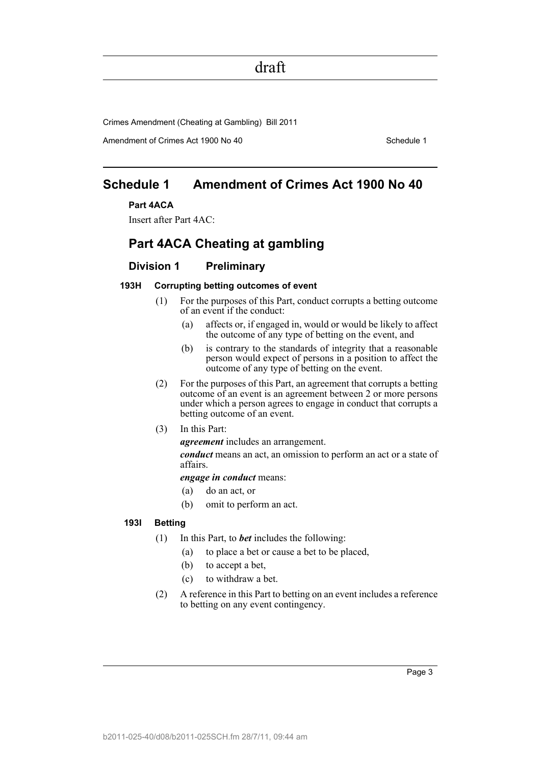Crimes Amendment (Cheating at Gambling) Bill 2011

Amendment of Crimes Act 1900 No 40 Schedule 1

## <span id="page-3-0"></span>**Schedule 1 Amendment of Crimes Act 1900 No 40**

### **Part 4ACA**

Insert after Part 4AC:

## **Part 4ACA Cheating at gambling**

### **Division 1 Preliminary**

#### **193H Corrupting betting outcomes of event**

- (1) For the purposes of this Part, conduct corrupts a betting outcome of an event if the conduct:
	- (a) affects or, if engaged in, would or would be likely to affect the outcome of any type of betting on the event, and
	- (b) is contrary to the standards of integrity that a reasonable person would expect of persons in a position to affect the outcome of any type of betting on the event.
- (2) For the purposes of this Part, an agreement that corrupts a betting outcome of an event is an agreement between 2 or more persons under which a person agrees to engage in conduct that corrupts a betting outcome of an event.
- (3) In this Part:

*agreement* includes an arrangement.

*conduct* means an act, an omission to perform an act or a state of affairs.

*engage in conduct* means:

- (a) do an act, or
- (b) omit to perform an act.

#### **193I Betting**

- (1) In this Part, to *bet* includes the following:
	- (a) to place a bet or cause a bet to be placed,
	- (b) to accept a bet,
	- (c) to withdraw a bet.
- (2) A reference in this Part to betting on an event includes a reference to betting on any event contingency.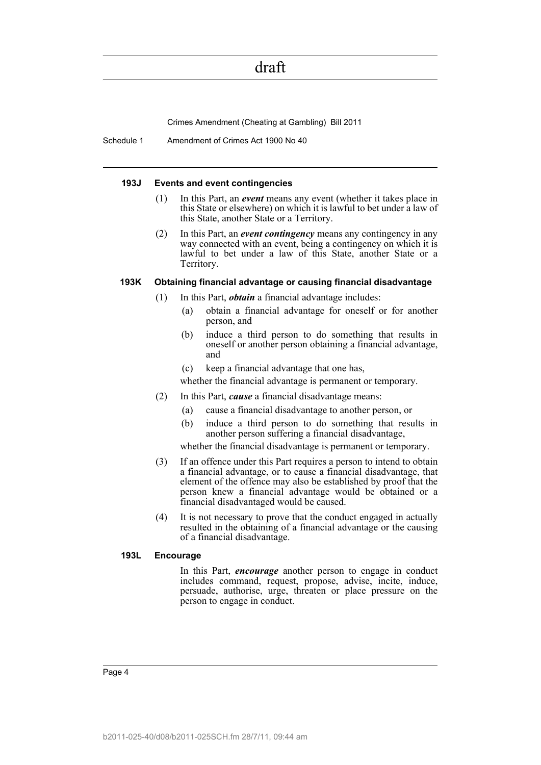Crimes Amendment (Cheating at Gambling) Bill 2011

Schedule 1 Amendment of Crimes Act 1900 No 40

#### **193J Events and event contingencies**

- (1) In this Part, an *event* means any event (whether it takes place in this State or elsewhere) on which it is lawful to bet under a law of this State, another State or a Territory.
- (2) In this Part, an *event contingency* means any contingency in any way connected with an event, being a contingency on which it is lawful to bet under a law of this State, another State or a Territory.

#### **193K Obtaining financial advantage or causing financial disadvantage**

- (1) In this Part, *obtain* a financial advantage includes:
	- (a) obtain a financial advantage for oneself or for another person, and
	- (b) induce a third person to do something that results in oneself or another person obtaining a financial advantage, and
	- (c) keep a financial advantage that one has,

whether the financial advantage is permanent or temporary.

- (2) In this Part, *cause* a financial disadvantage means:
	- (a) cause a financial disadvantage to another person, or
	- (b) induce a third person to do something that results in another person suffering a financial disadvantage,

whether the financial disadvantage is permanent or temporary.

- (3) If an offence under this Part requires a person to intend to obtain a financial advantage, or to cause a financial disadvantage, that element of the offence may also be established by proof that the person knew a financial advantage would be obtained or a financial disadvantaged would be caused.
- (4) It is not necessary to prove that the conduct engaged in actually resulted in the obtaining of a financial advantage or the causing of a financial disadvantage.

#### **193L Encourage**

In this Part, *encourage* another person to engage in conduct includes command, request, propose, advise, incite, induce, persuade, authorise, urge, threaten or place pressure on the person to engage in conduct.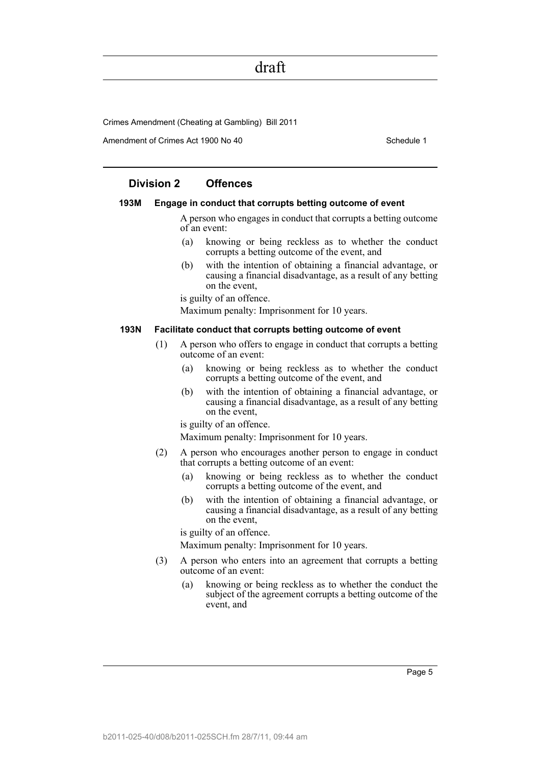Crimes Amendment (Cheating at Gambling) Bill 2011

Amendment of Crimes Act 1900 No 40 Schedule 1

### **Division 2 Offences**

#### **193M Engage in conduct that corrupts betting outcome of event**

A person who engages in conduct that corrupts a betting outcome of an event:

- (a) knowing or being reckless as to whether the conduct corrupts a betting outcome of the event, and
- (b) with the intention of obtaining a financial advantage, or causing a financial disadvantage, as a result of any betting on the event,

is guilty of an offence.

Maximum penalty: Imprisonment for 10 years.

#### **193N Facilitate conduct that corrupts betting outcome of event**

- (1) A person who offers to engage in conduct that corrupts a betting outcome of an event:
	- (a) knowing or being reckless as to whether the conduct corrupts a betting outcome of the event, and
	- (b) with the intention of obtaining a financial advantage, or causing a financial disadvantage, as a result of any betting on the event,

is guilty of an offence.

Maximum penalty: Imprisonment for 10 years.

- (2) A person who encourages another person to engage in conduct that corrupts a betting outcome of an event:
	- (a) knowing or being reckless as to whether the conduct corrupts a betting outcome of the event, and
	- (b) with the intention of obtaining a financial advantage, or causing a financial disadvantage, as a result of any betting on the event,

is guilty of an offence.

Maximum penalty: Imprisonment for 10 years.

- (3) A person who enters into an agreement that corrupts a betting outcome of an event:
	- (a) knowing or being reckless as to whether the conduct the subject of the agreement corrupts a betting outcome of the event, and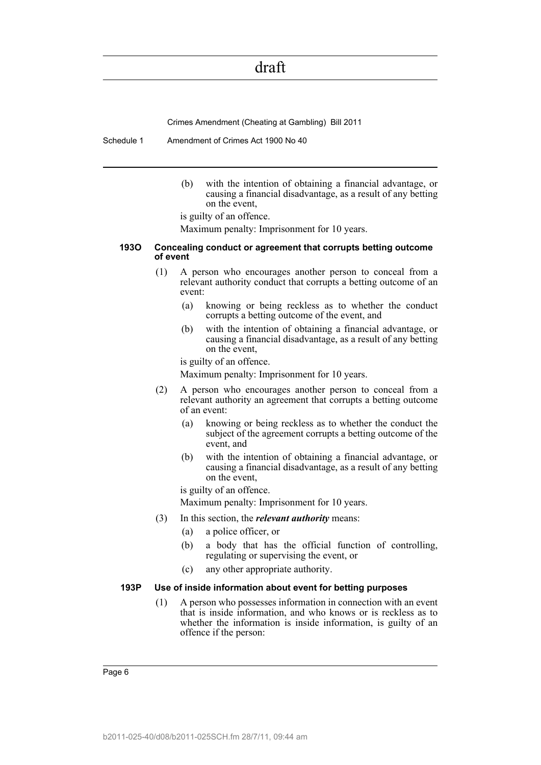Crimes Amendment (Cheating at Gambling) Bill 2011

Schedule 1 Amendment of Crimes Act 1900 No 40

(b) with the intention of obtaining a financial advantage, or causing a financial disadvantage, as a result of any betting on the event,

is guilty of an offence.

Maximum penalty: Imprisonment for 10 years.

#### **193O Concealing conduct or agreement that corrupts betting outcome of event**

- (1) A person who encourages another person to conceal from a relevant authority conduct that corrupts a betting outcome of an event:
	- (a) knowing or being reckless as to whether the conduct corrupts a betting outcome of the event, and
	- (b) with the intention of obtaining a financial advantage, or causing a financial disadvantage, as a result of any betting on the event,

is guilty of an offence.

Maximum penalty: Imprisonment for 10 years.

- (2) A person who encourages another person to conceal from a relevant authority an agreement that corrupts a betting outcome of an event:
	- (a) knowing or being reckless as to whether the conduct the subject of the agreement corrupts a betting outcome of the event, and
	- (b) with the intention of obtaining a financial advantage, or causing a financial disadvantage, as a result of any betting on the event,

is guilty of an offence.

Maximum penalty: Imprisonment for 10 years.

- (3) In this section, the *relevant authority* means:
	- (a) a police officer, or
	- (b) a body that has the official function of controlling, regulating or supervising the event, or
	- (c) any other appropriate authority.

#### **193P Use of inside information about event for betting purposes**

(1) A person who possesses information in connection with an event that is inside information, and who knows or is reckless as to whether the information is inside information, is guilty of an offence if the person: